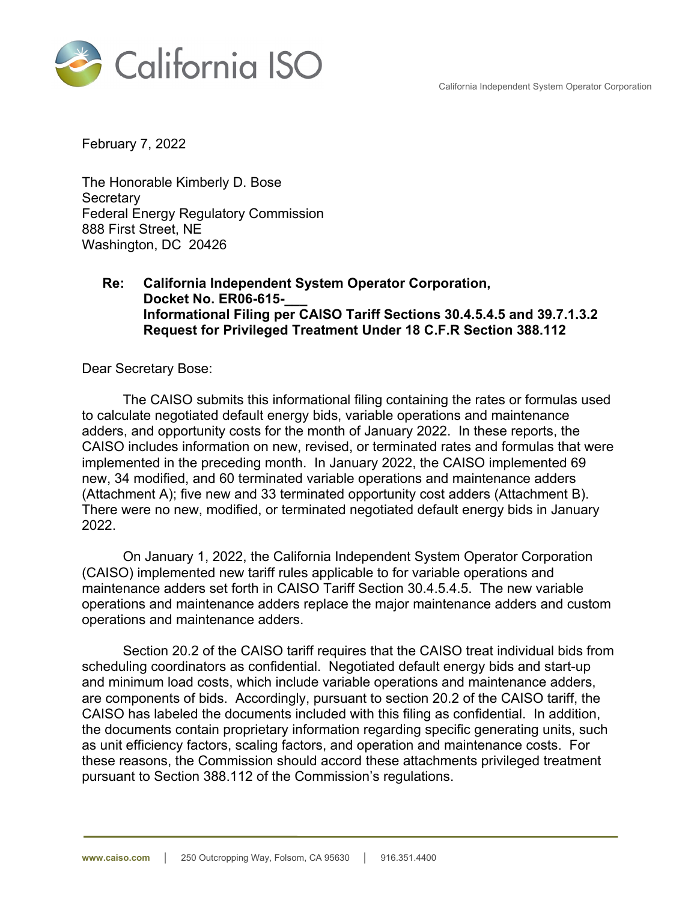California Independent System Operator Corporation



February 7, 2022

The Honorable Kimberly D. Bose **Secretary** Federal Energy Regulatory Commission 888 First Street, NE Washington, DC 20426

## **Re: California Independent System Operator Corporation, Docket No. ER06-615-\_\_\_ Informational Filing per CAISO Tariff Sections 30.4.5.4.5 and 39.7.1.3.2 Request for Privileged Treatment Under 18 C.F.R Section 388.112**

Dear Secretary Bose:

The CAISO submits this informational filing containing the rates or formulas used to calculate negotiated default energy bids, variable operations and maintenance adders, and opportunity costs for the month of January 2022. In these reports, the CAISO includes information on new, revised, or terminated rates and formulas that were implemented in the preceding month. In January 2022, the CAISO implemented 69 new, 34 modified, and 60 terminated variable operations and maintenance adders (Attachment A); five new and 33 terminated opportunity cost adders (Attachment B). There were no new, modified, or terminated negotiated default energy bids in January 2022.

On January 1, 2022, the California Independent System Operator Corporation (CAISO) implemented new tariff rules applicable to for variable operations and maintenance adders set forth in CAISO Tariff Section 30.4.5.4.5. The new variable operations and maintenance adders replace the major maintenance adders and custom operations and maintenance adders.

Section 20.2 of the CAISO tariff requires that the CAISO treat individual bids from scheduling coordinators as confidential. Negotiated default energy bids and start-up and minimum load costs, which include variable operations and maintenance adders, are components of bids. Accordingly, pursuant to section 20.2 of the CAISO tariff, the CAISO has labeled the documents included with this filing as confidential. In addition, the documents contain proprietary information regarding specific generating units, such as unit efficiency factors, scaling factors, and operation and maintenance costs. For these reasons, the Commission should accord these attachments privileged treatment pursuant to Section 388.112 of the Commission's regulations.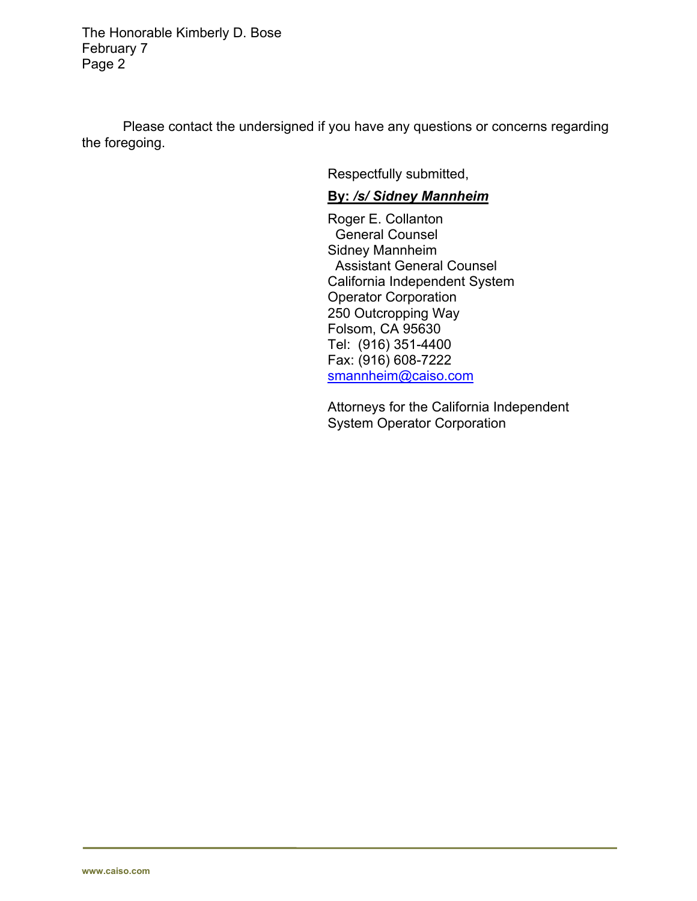The Honorable Kimberly D. Bose February 7 Page 2

Please contact the undersigned if you have any questions or concerns regarding the foregoing.

Respectfully submitted,

## **By:** */s/ Sidney Mannheim*

Roger E. Collanton General Counsel Sidney Mannheim Assistant General Counsel California Independent System Operator Corporation 250 Outcropping Way Folsom, CA 95630 Tel: (916) 351-4400 Fax: (916) 608-7222 smannheim@caiso.com

Attorneys for the California Independent System Operator Corporation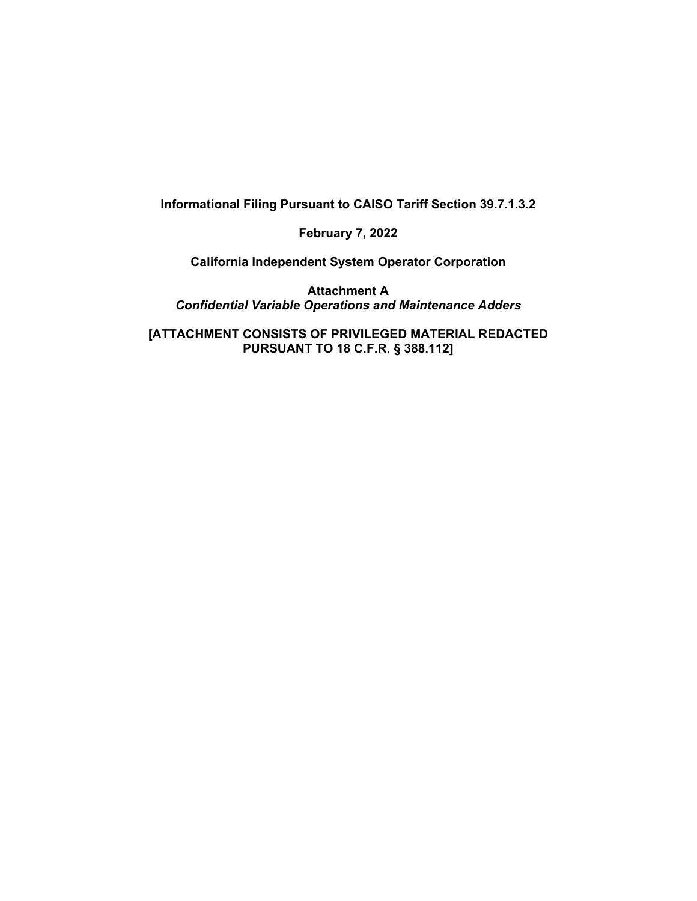**Informational Filing Pursuant to CAISO Tariff Section 39.7.1.3.2** 

**February 7, 2022** 

**California Independent System Operator Corporation** 

**Attachment A**  *Confidential Variable Operations and Maintenance Adders* 

**[ATTACHMENT CONSISTS OF PRIVILEGED MATERIAL REDACTED PURSUANT TO 18 C.F.R. § 388.112]**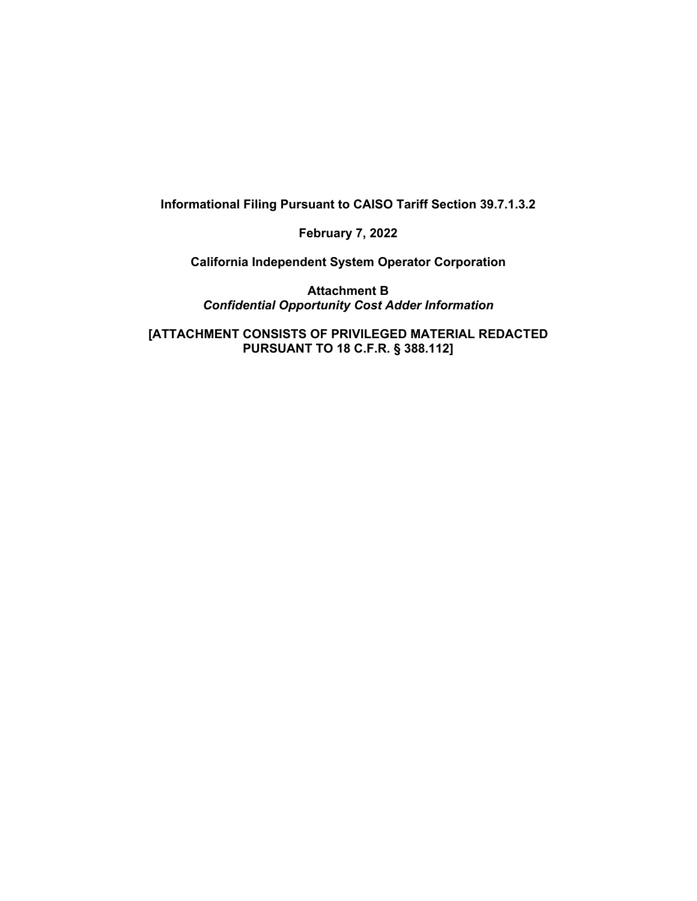**Informational Filing Pursuant to CAISO Tariff Section 39.7.1.3.2** 

**February 7, 2022** 

**California Independent System Operator Corporation** 

**Attachment B**  *Confidential Opportunity Cost Adder Information* 

**[ATTACHMENT CONSISTS OF PRIVILEGED MATERIAL REDACTED PURSUANT TO 18 C.F.R. § 388.112]**